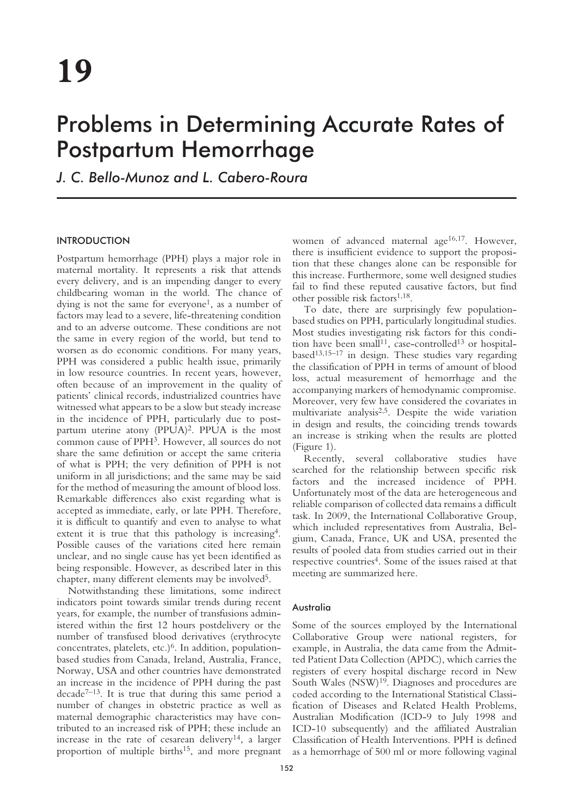# Problems in Determining Accurate Rates of Postpartum Hemorrhage

*J. C. Bello-Munoz and L. Cabero-Roura*

# INTRODUCTION

Postpartum hemorrhage (PPH) plays a major role in maternal mortality. It represents a risk that attends every delivery, and is an impending danger to every childbearing woman in the world. The chance of dying is not the same for everyone<sup>1</sup>, as a number of factors may lead to a severe, life-threatening condition and to an adverse outcome. These conditions are not the same in every region of the world, but tend to worsen as do economic conditions. For many years, PPH was considered a public health issue, primarily in low resource countries. In recent years, however, often because of an improvement in the quality of patients' clinical records, industrialized countries have witnessed what appears to be a slow but steady increase in the incidence of PPH, particularly due to postpartum uterine atony (PPUA)<sup>2</sup>. PPUA is the most common cause of PPH3. However, all sources do not share the same definition or accept the same criteria of what is PPH; the very definition of PPH is not uniform in all jurisdictions; and the same may be said for the method of measuring the amount of blood loss. Remarkable differences also exist regarding what is accepted as immediate, early, or late PPH. Therefore, it is difficult to quantify and even to analyse to what extent it is true that this pathology is increasing4. Possible causes of the variations cited here remain unclear, and no single cause has yet been identified as being responsible. However, as described later in this chapter, many different elements may be involved5.

Notwithstanding these limitations, some indirect indicators point towards similar trends during recent years, for example, the number of transfusions administered within the first 12 hours postdelivery or the number of transfused blood derivatives (erythrocyte concentrates, platelets, etc.)6. In addition, populationbased studies from Canada, Ireland, Australia, France, Norway, USA and other countries have demonstrated an increase in the incidence of PPH during the past  $decade^{7-13}$ . It is true that during this same period a number of changes in obstetric practice as well as maternal demographic characteristics may have contributed to an increased risk of PPH; these include an increase in the rate of cesarean delivery<sup>14</sup>, a larger proportion of multiple births<sup>15</sup>, and more pregnant

women of advanced maternal age<sup>16,17</sup>. However, there is insufficient evidence to support the proposition that these changes alone can be responsible for this increase. Furthermore, some well designed studies fail to find these reputed causative factors, but find other possible risk factors<sup>1,18</sup>.

To date, there are surprisingly few populationbased studies on PPH, particularly longitudinal studies. Most studies investigating risk factors for this condition have been small<sup>11</sup>, case-controlled<sup>13</sup> or hospitalbased<sup>13,15–17</sup> in design. These studies vary regarding the classification of PPH in terms of amount of blood loss, actual measurement of hemorrhage and the accompanying markers of hemodynamic compromise. Moreover, very few have considered the covariates in multivariate analysis2,5. Despite the wide variation in design and results, the coinciding trends towards an increase is striking when the results are plotted (Figure 1).

Recently, several collaborative studies have searched for the relationship between specific risk factors and the increased incidence of PPH. Unfortunately most of the data are heterogeneous and reliable comparison of collected data remains a difficult task. In 2009, the International Collaborative Group, which included representatives from Australia, Belgium, Canada, France, UK and USA, presented the results of pooled data from studies carried out in their respective countries4. Some of the issues raised at that meeting are summarized here.

# Australia

Some of the sources employed by the International Collaborative Group were national registers, for example, in Australia, the data came from the Admitted Patient Data Collection (APDC), which carries the registers of every hospital discharge record in New South Wales (NSW)<sup>19</sup>. Diagnoses and procedures are coded according to the International Statistical Classification of Diseases and Related Health Problems, Australian Modification (ICD-9 to July 1998 and ICD-10 subsequently) and the affiliated Australian Classification of Health Interventions. PPH is defined as a hemorrhage of 500 ml or more following vaginal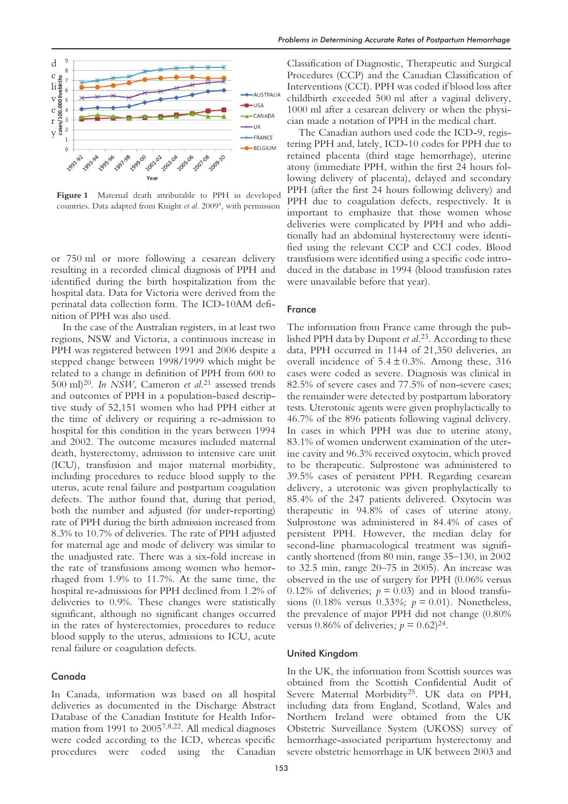

**Figure 1** Maternal death attributable to PPH in developed countries. Data adapted from Knight *et al*. 20094 , with permission

or 750 ml or more following a cesarean delivery resulting in a recorded clinical diagnosis of PPH and identified during the birth hospitalization from the hospital data. Data for Victoria were derived from the perinatal data collection form. The ICD-10AM definition of PPH was also used.

In the case of the Australian registers, in at least two regions, NSW and Victoria, a continuous increase in PPH was registered between 1991 and 2006 despite a stepped change between 1998/1999 which might be related to a change in definition of PPH from 600 to 500 ml)20. *In NSW*, Cameron *et al*. <sup>21</sup> assessed trends and outcomes of PPH in a population-based descriptive study of 52,151 women who had PPH either at the time of delivery or requiring a re-admission to hospital for this condition in the years between 1994 and 2002. The outcome measures included maternal death, hysterectomy, admission to intensive care unit (ICU), transfusion and major maternal morbidity, including procedures to reduce blood supply to the uterus, acute renal failure and postpartum coagulation defects. The author found that, during that period, both the number and adjusted (for under-reporting) rate of PPH during the birth admission increased from 8.3% to 10.7% of deliveries. The rate of PPH adjusted for maternal age and mode of delivery was similar to the unadjusted rate. There was a six-fold increase in the rate of transfusions among women who hemorrhaged from 1.9% to 11.7%. At the same time, the hospital re-admissions for PPH declined from 1.2% of deliveries to 0.9%. These changes were statistically significant, although no significant changes occurred in the rates of hysterectomies, procedures to reduce blood supply to the uterus, admissions to ICU, acute renal failure or coagulation defects.

## Canada

In Canada, information was based on all hospital deliveries as documented in the Discharge Abstract Database of the Canadian Institute for Health Information from 1991 to 20057,8,22. All medical diagnoses were coded according to the ICD, whereas specific procedures were coded using the Canadian

Classification of Diagnostic, Therapeutic and Surgical Procedures (CCP) and the Canadian Classification of Interventions (CCI). PPH was coded if blood loss after childbirth exceeded 500 ml after a vaginal delivery, 1000 ml after a cesarean delivery or when the physician made a notation of PPH in the medical chart.

The Canadian authors used code the ICD-9, registering PPH and, lately, ICD-10 codes for PPH due to retained placenta (third stage hemorrhage), uterine atony (immediate PPH, within the first 24 hours following delivery of placenta), delayed and secondary PPH (after the first 24 hours following delivery) and PPH due to coagulation defects, respectively. It is important to emphasize that those women whose deliveries were complicated by PPH and who additionally had an abdominal hysterectomy were identified using the relevant CCP and CCI codes. Blood transfusions were identified using a specific code introduced in the database in 1994 (blood transfusion rates were unavailable before that year).

## France

The information from France came through the published PPH data by Dupont *et al*. 23. According to these data, PPH occurred in 1144 of 21,350 deliveries, an overall incidence of  $5.4 \pm 0.3$ %. Among these, 316 cases were coded as severe. Diagnosis was clinical in 82.5% of severe cases and 77.5% of non-severe cases; the remainder were detected by postpartum laboratory tests. Uterotonic agents were given prophylactically to 46.7% of the 896 patients following vaginal delivery. In cases in which PPH was due to uterine atony, 83.1% of women underwent examination of the uterine cavity and 96.3% received oxytocin, which proved to be therapeutic. Sulprostone was administered to 39.5% cases of persistent PPH. Regarding cesarean delivery, a uterotonic was given prophylactically to 85.4% of the 247 patients delivered. Oxytocin was therapeutic in 94.8% of cases of uterine atony. Sulprostone was administered in 84.4% of cases of persistent PPH. However, the median delay for second-line pharmacological treatment was significantly shortened (from 80 min, range 35–130, in 2002 to 32.5 min, range 20–75 in 2005). An increase was observed in the use of surgery for PPH (0.06% versus 0.12% of deliveries;  $p = 0.03$ ) and in blood transfusions (0.18% versus 0.33*%; p* = 0.01). Nonetheless, the prevalence of major PPH did not change (0.80% versus 0.86% of deliveries;  $p = 0.62$ <sup>24</sup>.

#### United Kingdom

In the UK, the information from Scottish sources was obtained from the Scottish Confidential Audit of Severe Maternal Morbidity<sup>25</sup>. UK data on PPH, including data from England, Scotland, Wales and Northern Ireland were obtained from the UK Obstetric Surveillance System (UKOSS) survey of hemorrhage-associated peripartum hysterectomy and severe obstetric hemorrhage in UK between 2003 and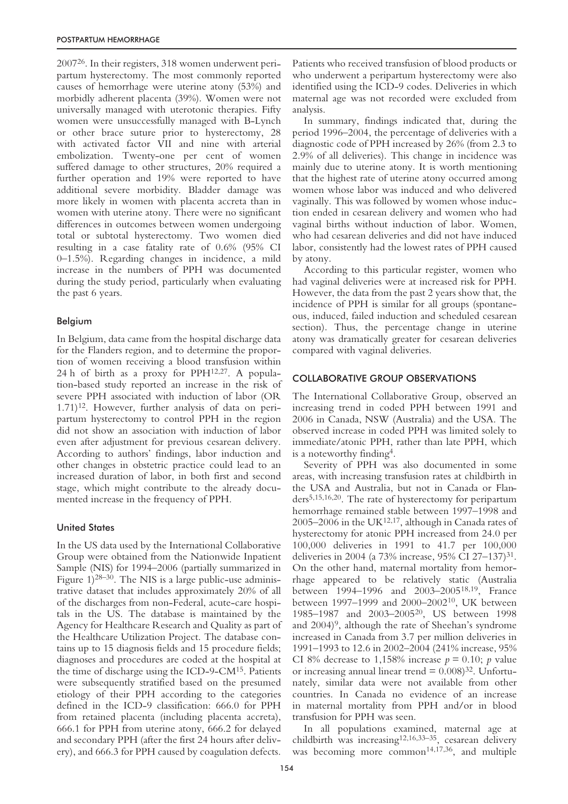200726. In their registers, 318 women underwent peripartum hysterectomy. The most commonly reported causes of hemorrhage were uterine atony (53%) and morbidly adherent placenta (39%). Women were not universally managed with uterotonic therapies. Fifty women were unsuccessfully managed with B-Lynch or other brace suture prior to hysterectomy, 28 with activated factor VII and nine with arterial embolization. Twenty-one per cent of women suffered damage to other structures, 20% required a further operation and 19% were reported to have additional severe morbidity. Bladder damage was more likely in women with placenta accreta than in women with uterine atony. There were no significant differences in outcomes between women undergoing total or subtotal hysterectomy. Two women died resulting in a case fatality rate of 0.6% (95% CI 0–1.5%). Regarding changes in incidence, a mild increase in the numbers of PPH was documented during the study period, particularly when evaluating the past 6 years.

# Belgium

In Belgium, data came from the hospital discharge data for the Flanders region, and to determine the proportion of women receiving a blood transfusion within 24 h of birth as a proxy for PPH12,27. A population-based study reported an increase in the risk of severe PPH associated with induction of labor (OR 1.71)12. However, further analysis of data on peripartum hysterectomy to control PPH in the region did not show an association with induction of labor even after adjustment for previous cesarean delivery. According to authors' findings, labor induction and other changes in obstetric practice could lead to an increased duration of labor, in both first and second stage, which might contribute to the already documented increase in the frequency of PPH.

# United States

In the US data used by the International Collaborative Group were obtained from the Nationwide Inpatient Sample (NIS) for 1994–2006 (partially summarized in Figure  $1)^{28-30}$ . The NIS is a large public-use administrative dataset that includes approximately 20% of all of the discharges from non-Federal, acute-care hospitals in the US. The database is maintained by the Agency for Healthcare Research and Quality as part of the Healthcare Utilization Project. The database contains up to 15 diagnosis fields and 15 procedure fields; diagnoses and procedures are coded at the hospital at the time of discharge using the ICD-9-CM15. Patients were subsequently stratified based on the presumed etiology of their PPH according to the categories defined in the ICD-9 classification: 666.0 for PPH from retained placenta (including placenta accreta), 666.1 for PPH from uterine atony, 666.2 for delayed and secondary PPH (after the first 24 hours after delivery), and 666.3 for PPH caused by coagulation defects.

Patients who received transfusion of blood products or who underwent a peripartum hysterectomy were also identified using the ICD-9 codes. Deliveries in which maternal age was not recorded were excluded from analysis.

In summary, findings indicated that, during the period 1996–2004, the percentage of deliveries with a diagnostic code of PPH increased by 26% (from 2.3 to 2.9% of all deliveries). This change in incidence was mainly due to uterine atony. It is worth mentioning that the highest rate of uterine atony occurred among women whose labor was induced and who delivered vaginally. This was followed by women whose induction ended in cesarean delivery and women who had vaginal births without induction of labor. Women, who had cesarean deliveries and did not have induced labor, consistently had the lowest rates of PPH caused by atony.

According to this particular register, women who had vaginal deliveries were at increased risk for PPH. However, the data from the past 2 years show that, the incidence of PPH is similar for all groups (spontaneous, induced, failed induction and scheduled cesarean section). Thus, the percentage change in uterine atony was dramatically greater for cesarean deliveries compared with vaginal deliveries.

# COLLABORATIVE GROUP OBSERVATIONS

The International Collaborative Group, observed an increasing trend in coded PPH between 1991 and 2006 in Canada, NSW (Australia) and the USA. The observed increase in coded PPH was limited solely to immediate/atonic PPH, rather than late PPH, which is a noteworthy finding4.

Severity of PPH was also documented in some areas, with increasing transfusion rates at childbirth in the USA and Australia, but not in Canada or Flanders5,15,16,20. The rate of hysterectomy for peripartum hemorrhage remained stable between 1997–1998 and 2005–2006 in the UK $^{12,17}$ , although in Canada rates of hysterectomy for atonic PPH increased from 24.0 per 100,000 deliveries in 1991 to 41.7 per 100,000 deliveries in 2004 (a 73% increase, 95% CI 27–137)31. On the other hand, maternal mortality from hemorrhage appeared to be relatively static (Australia between 1994–1996 and 2003–200518,19, France between 1997–1999 and 2000–200210, UK between 1985–1987 and 2003–200520, US between 1998 and 2004)<sup>9</sup>, although the rate of Sheehan's syndrome increased in Canada from 3.7 per million deliveries in 1991–1993 to 12.6 in 2002–2004 (241% increase, 95% CI 8% decrease to 1,158% increase  $p = 0.10$ ; *p* value or increasing annual linear trend  $= 0.008$ <sup>32</sup>. Unfortunately, similar data were not available from other countries. In Canada no evidence of an increase in maternal mortality from PPH and/or in blood transfusion for PPH was seen.

In all populations examined, maternal age at childbirth was increasing<sup>12,16,33–35</sup>, cesarean delivery was becoming more common<sup>14,17,36</sup>, and multiple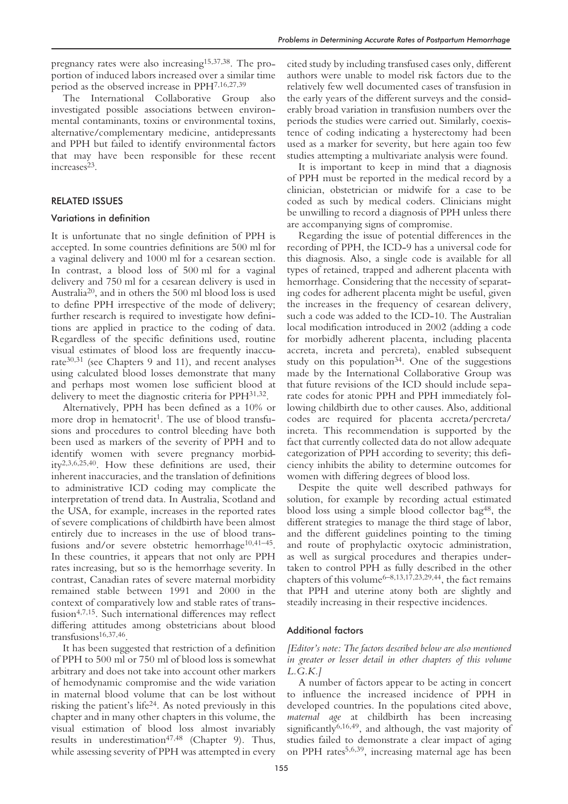pregnancy rates were also increasing15,37,38. The proportion of induced labors increased over a similar time period as the observed increase in PPH7,16,27,39

The International Collaborative Group also investigated possible associations between environmental contaminants, toxins or environmental toxins, alternative/complementary medicine, antidepressants and PPH but failed to identify environmental factors that may have been responsible for these recent increases<sup>23</sup>.

# RELATED ISSUES

## Variations in definition

It is unfortunate that no single definition of PPH is accepted. In some countries definitions are 500 ml for a vaginal delivery and 1000 ml for a cesarean section. In contrast, a blood loss of 500 ml for a vaginal delivery and 750 ml for a cesarean delivery is used in Australia20, and in others the 500 ml blood loss is used to define PPH irrespective of the mode of delivery; further research is required to investigate how definitions are applied in practice to the coding of data. Regardless of the specific definitions used, routine visual estimates of blood loss are frequently inaccurate30,31 (see Chapters 9 and 11), and recent analyses using calculated blood losses demonstrate that many and perhaps most women lose sufficient blood at delivery to meet the diagnostic criteria for PPH31,32.

Alternatively, PPH has been defined as a 10% or more drop in hematocrit<sup>1</sup>. The use of blood transfusions and procedures to control bleeding have both been used as markers of the severity of PPH and to identify women with severe pregnancy morbidity2,3,6,25,40. How these definitions are used, their inherent inaccuracies, and the translation of definitions to administrative ICD coding may complicate the interpretation of trend data. In Australia, Scotland and the USA, for example, increases in the reported rates of severe complications of childbirth have been almost entirely due to increases in the use of blood transfusions and/or severe obstetric hemorrhage<sup>10,41-45</sup>. In these countries, it appears that not only are PPH rates increasing, but so is the hemorrhage severity. In contrast, Canadian rates of severe maternal morbidity remained stable between 1991 and 2000 in the context of comparatively low and stable rates of transfusion4,7,15. Such international differences may reflect differing attitudes among obstetricians about blood transfusions16,37,46.

It has been suggested that restriction of a definition of PPH to 500 ml or 750 ml of blood loss is somewhat arbitrary and does not take into account other markers of hemodynamic compromise and the wide variation in maternal blood volume that can be lost without risking the patient's life24. As noted previously in this chapter and in many other chapters in this volume, the visual estimation of blood loss almost invariably results in underestimation<sup>47,48</sup> (Chapter 9). Thus, while assessing severity of PPH was attempted in every

cited study by including transfused cases only, different authors were unable to model risk factors due to the relatively few well documented cases of transfusion in the early years of the different surveys and the considerably broad variation in transfusion numbers over the periods the studies were carried out. Similarly, coexistence of coding indicating a hysterectomy had been used as a marker for severity, but here again too few studies attempting a multivariate analysis were found.

It is important to keep in mind that a diagnosis of PPH must be reported in the medical record by a clinician, obstetrician or midwife for a case to be coded as such by medical coders. Clinicians might be unwilling to record a diagnosis of PPH unless there are accompanying signs of compromise.

Regarding the issue of potential differences in the recording of PPH, the ICD-9 has a universal code for this diagnosis. Also, a single code is available for all types of retained, trapped and adherent placenta with hemorrhage. Considering that the necessity of separating codes for adherent placenta might be useful, given the increases in the frequency of cesarean delivery, such a code was added to the ICD-10. The Australian local modification introduced in 2002 (adding a code for morbidly adherent placenta, including placenta accreta, increta and percreta), enabled subsequent study on this population<sup>34</sup>. One of the suggestions made by the International Collaborative Group was that future revisions of the ICD should include separate codes for atonic PPH and PPH immediately following childbirth due to other causes. Also, additional codes are required for placenta accreta/percreta/ increta. This recommendation is supported by the fact that currently collected data do not allow adequate categorization of PPH according to severity; this deficiency inhibits the ability to determine outcomes for women with differing degrees of blood loss.

Despite the quite well described pathways for solution, for example by recording actual estimated blood loss using a simple blood collector bag48, the different strategies to manage the third stage of labor, and the different guidelines pointing to the timing and route of prophylactic oxytocic administration, as well as surgical procedures and therapies undertaken to control PPH as fully described in the other chapters of this volume<sup> $6-8,13,17,23,29,44$ </sup>, the fact remains that PPH and uterine atony both are slightly and steadily increasing in their respective incidences.

# Additional factors

*[Editor's note: The factors described below are also mentioned in greater or lesser detail in other chapters of this volume L.G.K.]*

A number of factors appear to be acting in concert to influence the increased incidence of PPH in developed countries. In the populations cited above, *maternal age* at childbirth has been increasing significantly<sup>6,16,49</sup>, and although, the vast majority of studies failed to demonstrate a clear impact of aging on PPH rates<sup>5,6,39</sup>, increasing maternal age has been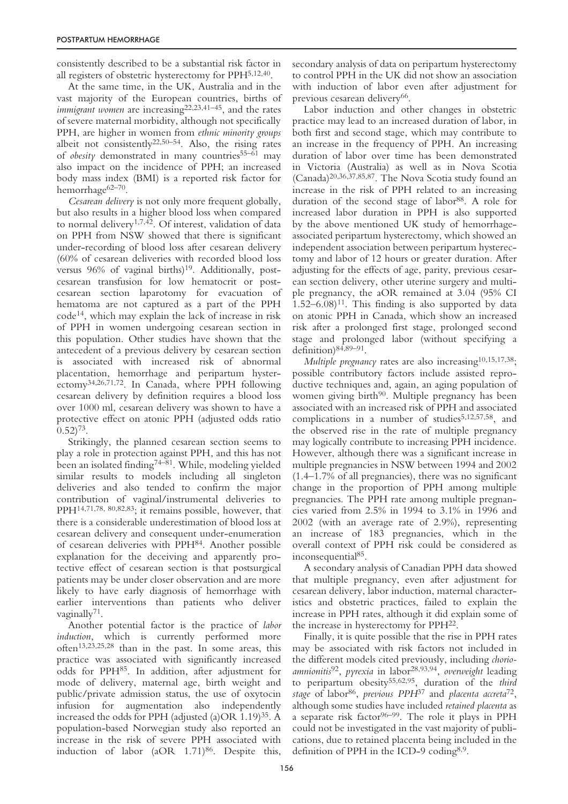consistently described to be a substantial risk factor in all registers of obstetric hysterectomy for PPH5,12,40.

At the same time, in the UK, Australia and in the vast majority of the European countries, births of *immigrant women* are increasing<sup>22,23,41-45</sup>, and the rates of severe maternal morbidity, although not specifically PPH, are higher in women from *ethnic minority groups* albeit not consistently<sup>22,50–54</sup>. Also, the rising rates of *obesity* demonstrated in many countries<sup>55-61</sup> may also impact on the incidence of PPH; an increased body mass index (BMI) is a reported risk factor for hemorrhage<sup>62–70</sup>.

*Cesarean delivery* is not only more frequent globally, but also results in a higher blood loss when compared to normal delivery<sup>1,7,42</sup>. Of interest, validation of data on PPH from NSW showed that there is significant under-recording of blood loss after cesarean delivery (60% of cesarean deliveries with recorded blood loss versus  $96\%$  of vaginal births)<sup>19</sup>. Additionally, postcesarean transfusion for low hematocrit or postcesarean section laparotomy for evacuation of hematoma are not captured as a part of the PPH  $code^{14}$ , which may explain the lack of increase in risk of PPH in women undergoing cesarean section in this population. Other studies have shown that the antecedent of a previous delivery by cesarean section is associated with increased risk of abnormal placentation, hemorrhage and peripartum hysterectomy34,26,71,72. In Canada, where PPH following cesarean delivery by definition requires a blood loss over 1000 ml, cesarean delivery was shown to have a protective effect on atonic PPH (adjusted odds ratio  $(0.52)^{73}$ .

Strikingly, the planned cesarean section seems to play a role in protection against PPH, and this has not been an isolated finding<sup>74–81</sup>. While, modeling yielded similar results to models including all singleton deliveries and also tended to confirm the major contribution of vaginal/instrumental deliveries to PPH14,71,78, 80,82,83; it remains possible, however, that there is a considerable underestimation of blood loss at cesarean delivery and consequent under-enumeration of cesarean deliveries with PPH84. Another possible explanation for the deceiving and apparently protective effect of cesarean section is that postsurgical patients may be under closer observation and are more likely to have early diagnosis of hemorrhage with earlier interventions than patients who deliver vaginally<sup>71</sup>.

Another potential factor is the practice of *labor induction*, which is currently performed more often13,23,25,28 than in the past. In some areas, this practice was associated with significantly increased odds for PPH85. In addition, after adjustment for mode of delivery, maternal age, birth weight and public/private admission status, the use of oxytocin infusion for augmentation also independently increased the odds for PPH (adjusted (a)OR  $1.19$ )<sup>35</sup>. A population-based Norwegian study also reported an increase in the risk of severe PPH associated with induction of labor (aOR 1.71)<sup>86</sup>. Despite this,

secondary analysis of data on peripartum hysterectomy to control PPH in the UK did not show an association with induction of labor even after adjustment for previous cesarean delivery<sup>66</sup>.

Labor induction and other changes in obstetric practice may lead to an increased duration of labor, in both first and second stage, which may contribute to an increase in the frequency of PPH. An increasing duration of labor over time has been demonstrated in Victoria (Australia) as well as in Nova Scotia (Canada)20,36,37,85,87. The Nova Scotia study found an increase in the risk of PPH related to an increasing duration of the second stage of labor<sup>88</sup>. A role for increased labor duration in PPH is also supported by the above mentioned UK study of hemorrhageassociated peripartum hysterectomy, which showed an independent association between peripartum hysterectomy and labor of 12 hours or greater duration. After adjusting for the effects of age, parity, previous cesarean section delivery, other uterine surgery and multiple pregnancy, the aOR remained at 3.04 (95% CI  $1.52-6.08$ <sup>11</sup>. This finding is also supported by data on atonic PPH in Canada, which show an increased risk after a prolonged first stage, prolonged second stage and prolonged labor (without specifying a definition)84,89–91.

*Multiple pregnancy* rates are also increasing<sup>10,15,17,38</sup>; possible contributory factors include assisted reproductive techniques and, again, an aging population of women giving birth<sup>90</sup>. Multiple pregnancy has been associated with an increased risk of PPH and associated complications in a number of studies<sup>5,12,57,58</sup>, and the observed rise in the rate of multiple pregnancy may logically contribute to increasing PPH incidence. However, although there was a significant increase in multiple pregnancies in NSW between 1994 and 2002 (1.4–1.7% of all pregnancies), there was no significant change in the proportion of PPH among multiple pregnancies. The PPH rate among multiple pregnancies varied from 2.5% in 1994 to 3.1% in 1996 and 2002 (with an average rate of 2.9%), representing an increase of 183 pregnancies, which in the overall context of PPH risk could be considered as inconsequential85.

A secondary analysis of Canadian PPH data showed that multiple pregnancy, even after adjustment for cesarean delivery, labor induction, maternal characteristics and obstetric practices, failed to explain the increase in PPH rates, although it did explain some of the increase in hysterectomy for PPH22.

Finally, it is quite possible that the rise in PPH rates may be associated with risk factors not included in the different models cited previously, including *chorioamnionitis*92, *pyrexia* in labor28,93,94, *overweight* leading to peripartum obesity55,62,95, duration of the *third stage* of labor86, *previous PPH*<sup>37</sup> and *placenta accreta*72, although some studies have included *retained placenta* as a separate risk factor<sup>96–99</sup>. The role it plays in PPH could not be investigated in the vast majority of publications, due to retained placenta being included in the definition of PPH in the ICD-9 coding8,9.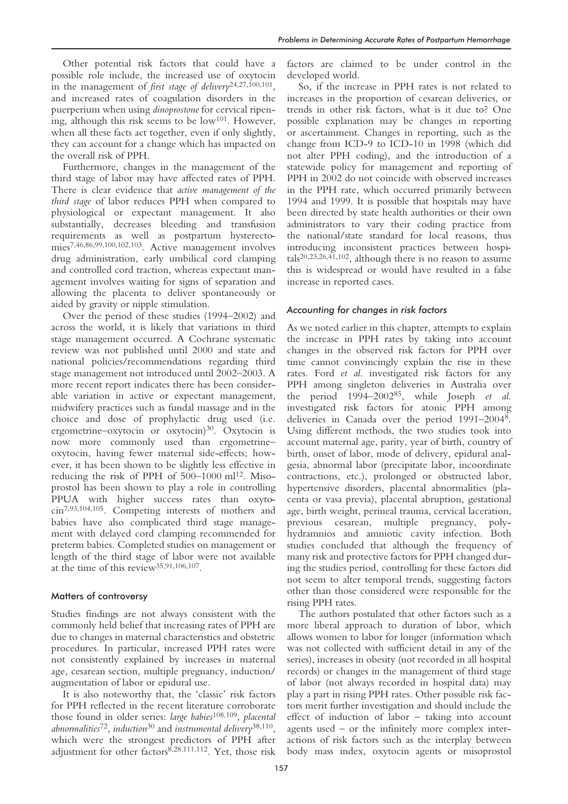Other potential risk factors that could have a possible role include, the increased use of oxytocin in the management of *first stage of delivery*24,27,100,101, and increased rates of coagulation disorders in the puerperium when using *dinoprostone* for cervical ripening, although this risk seems to be  $low<sup>101</sup>$ . However, when all these facts act together, even if only slightly, they can account for a change which has impacted on the overall risk of PPH.

Furthermore, changes in the management of the third stage of labor may have affected rates of PPH. There is clear evidence that *active management of the third stage* of labor reduces PPH when compared to physiological or expectant management. It also substantially, decreases bleeding and transfusion requirements as well as postpartum hysterectomies7,46,86,99,100,102,103. Active management involves drug administration, early umbilical cord clamping and controlled cord traction, whereas expectant management involves waiting for signs of separation and allowing the placenta to deliver spontaneously or aided by gravity or nipple stimulation.

Over the period of these studies (1994–2002) and across the world, it is likely that variations in third stage management occurred. A Cochrane systematic review was not published until 2000 and state and national policies/recommendations regarding third stage management not introduced until 2002–2003. A more recent report indicates there has been considerable variation in active or expectant management, midwifery practices such as fundal massage and in the choice and dose of prophylactic drug used (i.e. ergometrine–oxytocin or oxytocin) $30$ . Oxytocin is now more commonly used than ergometrine– oxytocin, having fewer maternal side-effects; however, it has been shown to be slightly less effective in reducing the risk of PPH of 500-1000 ml<sup>12</sup>. Misoprostol has been shown to play a role in controlling PPUA with higher success rates than oxytocin7,93,104,105. Competing interests of mothers and babies have also complicated third stage management with delayed cord clamping recommended for preterm babies. Completed studies on management or length of the third stage of labor were not available at the time of this review35,91,106,107.

## Matters of controversy

Studies findings are not always consistent with the commonly held belief that increasing rates of PPH are due to changes in maternal characteristics and obstetric procedures. In particular, increased PPH rates were not consistently explained by increases in maternal age, cesarean section, multiple pregnancy, induction/ augmentation of labor or epidural use.

It is also noteworthy that, the 'classic' risk factors for PPH reflected in the recent literature corroborate those found in older series: *large babies*108,109, *placental abnormalities*72, *induction*<sup>30</sup> and *instrumental delivery*38,110, which were the strongest predictors of PPH after adjustment for other factors $8,28,111,112$ . Yet, those risk factors are claimed to be under control in the developed world.

So, if the increase in PPH rates is not related to increases in the proportion of cesarean deliveries, or trends in other risk factors, what is it due to? One possible explanation may be changes in reporting or ascertainment. Changes in reporting, such as the change from ICD-9 to ICD-10 in 1998 (which did not alter PPH coding), and the introduction of a statewide policy for management and reporting of PPH in 2002 do not coincide with observed increases in the PPH rate, which occurred primarily between 1994 and 1999. It is possible that hospitals may have been directed by state health authorities or their own administrators to vary their coding practice from the national/state standard for local reasons, thus introducing inconsistent practices between hospitals20,23,26,41,102, although there is no reason to assume this is widespread or would have resulted in a false increase in reported cases.

#### *Accounting for changes in risk factors*

As we noted earlier in this chapter, attempts to explain the increase in PPH rates by taking into account changes in the observed risk factors for PPH over time cannot convincingly explain the rise in these rates. Ford *et al*. investigated risk factors for any PPH among singleton deliveries in Australia over the period 1994–200285, while Joseph *et al*. investigated risk factors for atonic PPH among deliveries in Canada over the period 1991–20048. Using different methods, the two studies took into account maternal age, parity, year of birth, country of birth, onset of labor, mode of delivery, epidural analgesia, abnormal labor (precipitate labor, incoordinate contractions, etc.), prolonged or obstructed labor, hypertensive disorders, placental abnormalities (placenta or vasa previa), placental abruption, gestational age, birth weight, perineal trauma, cervical laceration, previous cesarean, multiple pregnancy, polyhydramnios and amniotic cavity infection. Both studies concluded that although the frequency of many risk and protective factors for PPH changed during the studies period, controlling for these factors did not seem to alter temporal trends, suggesting factors other than those considered were responsible for the rising PPH rates.

The authors postulated that other factors such as a more liberal approach to duration of labor, which allows women to labor for longer (information which was not collected with sufficient detail in any of the series), increases in obesity (not recorded in all hospital records) or changes in the management of third stage of labor (not always recorded in hospital data) may play a part in rising PPH rates. Other possible risk factors merit further investigation and should include the effect of induction of labor – taking into account agents used – or the infinitely more complex interactions of risk factors such as the interplay between body mass index, oxytocin agents or misoprostol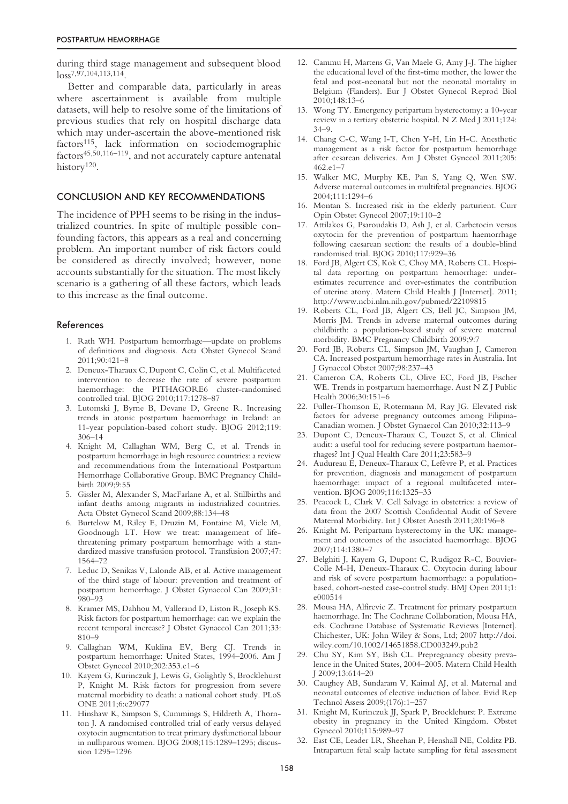during third stage management and subsequent blood loss7,97,104,113,114.

Better and comparable data, particularly in areas where ascertainment is available from multiple datasets, will help to resolve some of the limitations of previous studies that rely on hospital discharge data which may under-ascertain the above-mentioned risk factors115, lack information on sociodemographic factors45,50,116–119, and not accurately capture antenatal history<sup>120</sup>.

## CONCLUSION AND KEY RECOMMENDATIONS

The incidence of PPH seems to be rising in the industrialized countries. In spite of multiple possible confounding factors, this appears as a real and concerning problem. An important number of risk factors could be considered as directly involved; however, none accounts substantially for the situation. The most likely scenario is a gathering of all these factors, which leads to this increase as the final outcome.

### References

- 1. Rath WH. Postpartum hemorrhage—update on problems of definitions and diagnosis. Acta Obstet Gynecol Scand 2011;90:421–8
- 2. Deneux-Tharaux C, Dupont C, Colin C, et al. Multifaceted intervention to decrease the rate of severe postpartum haemorrhage: the PITHAGORE6 cluster-randomised controlled trial. BJOG 2010;117:1278–87
- 3. Lutomski J, Byrne B, Devane D, Greene R. Increasing trends in atonic postpartum haemorrhage in Ireland: an 11-year population-based cohort study. BJOG 2012;119: 306–14
- 4. Knight M, Callaghan WM, Berg C, et al. Trends in postpartum hemorrhage in high resource countries: a review and recommendations from the International Postpartum Hemorrhage Collaborative Group. BMC Pregnancy Childbirth 2009;9:55
- 5. Gissler M, Alexander S, MacFarlane A, et al. Stillbirths and infant deaths among migrants in industrialized countries. Acta Obstet Gynecol Scand 2009;88:134–48
- 6. Burtelow M, Riley E, Druzin M, Fontaine M, Viele M, Goodnough LT. How we treat: management of lifethreatening primary postpartum hemorrhage with a standardized massive transfusion protocol. Transfusion 2007;47: 1564–72
- 7. Leduc D, Senikas V, Lalonde AB, et al. Active management of the third stage of labour: prevention and treatment of postpartum hemorrhage. J Obstet Gynaecol Can 2009;31: 980–93
- 8. Kramer MS, Dahhou M, Vallerand D, Liston R, Joseph KS. Risk factors for postpartum hemorrhage: can we explain the recent temporal increase? J Obstet Gynaecol Can 2011;33: 810–9
- 9. Callaghan WM, Kuklina EV, Berg CJ. Trends in postpartum hemorrhage: United States, 1994–2006. Am J Obstet Gynecol 2010;202:353.e1–6
- 10. Kayem G, Kurinczuk J, Lewis G, Golightly S, Brocklehurst P, Knight M. Risk factors for progression from severe maternal morbidity to death: a national cohort study. PLoS ONE 2011;6:e29077
- 11. Hinshaw K, Simpson S, Cummings S, Hildreth A, Thornton J. A randomised controlled trial of early versus delayed oxytocin augmentation to treat primary dysfunctional labour in nulliparous women. BJOG 2008;115:1289–1295; discussion 1295–1296
- 12. Cammu H, Martens G, Van Maele G, Amy J-J. The higher the educational level of the first-time mother, the lower the fetal and post-neonatal but not the neonatal mortality in Belgium (Flanders). Eur J Obstet Gynecol Reprod Biol 2010;148:13–6
- 13. Wong TY. Emergency peripartum hysterectomy: a 10-year review in a tertiary obstetric hospital. N Z Med J 2011;124: 34–9.
- 14. Chang C-C, Wang I-T, Chen Y-H, Lin H-C. Anesthetic management as a risk factor for postpartum hemorrhage after cesarean deliveries. Am J Obstet Gynecol 2011;205: 462.e1–7
- 15. Walker MC, Murphy KE, Pan S, Yang Q, Wen SW. Adverse maternal outcomes in multifetal pregnancies. BJOG  $2004 \cdot 111 \cdot 1294 - 6$
- 16. Montan S. Increased risk in the elderly parturient. Curr Opin Obstet Gynecol 2007;19:110–2
- 17. Attilakos G, Psaroudakis D, Ash J, et al. Carbetocin versus oxytocin for the prevention of postpartum haemorrhage following caesarean section: the results of a double-blind randomised trial. BJOG 2010;117:929–36
- 18. Ford JB, Algert CS, Kok C, Choy MA, Roberts CL. Hospital data reporting on postpartum hemorrhage: underestimates recurrence and over-estimates the contribution of uterine atony. Matern Child Health J [Internet]. 2011; http://www.ncbi.nlm.nih.gov/pubmed/22109815
- 19. Roberts CL, Ford JB, Algert CS, Bell JC, Simpson JM, Morris JM. Trends in adverse maternal outcomes during childbirth: a population-based study of severe maternal morbidity. BMC Pregnancy Childbirth 2009;9:7
- 20. Ford JB, Roberts CL, Simpson JM, Vaughan J, Cameron CA. Increased postpartum hemorrhage rates in Australia. Int J Gynaecol Obstet 2007;98:237–43
- 21. Cameron CA, Roberts CL, Olive EC, Ford JB, Fischer WE. Trends in postpartum haemorrhage. Aust N Z J Public Health 2006;30:151–6
- 22. Fuller-Thomson E, Rotermann M, Ray JG. Elevated risk factors for adverse pregnancy outcomes among Filipina-Canadian women. J Obstet Gynaecol Can 2010;32:113–9
- 23. Dupont C, Deneux-Tharaux C, Touzet S, et al. Clinical audit: a useful tool for reducing severe postpartum haemorrhages? Int J Qual Health Care 2011;23:583–9
- 24. Audureau E, Deneux-Tharaux C, Lefèvre P, et al. Practices for prevention, diagnosis and management of postpartum haemorrhage: impact of a regional multifaceted intervention. BJOG 2009;116:1325–33
- 25. Peacock L, Clark V. Cell Salvage in obstetrics: a review of data from the 2007 Scottish Confidential Audit of Severe Maternal Morbidity. Int J Obstet Anesth 2011;20:196–8
- 26. Knight M. Peripartum hysterectomy in the UK: management and outcomes of the associated haemorrhage. BJOG 2007;114:1380–7
- 27. Belghiti J, Kayem G, Dupont C, Rudigoz R-C, Bouvier-Colle M-H, Deneux-Tharaux C. Oxytocin during labour and risk of severe postpartum haemorrhage: a populationbased, cohort-nested case-control study. BMJ Open 2011;1: e000514
- 28. Mousa HA, Alfirevic Z. Treatment for primary postpartum haemorrhage. In: The Cochrane Collaboration, Mousa HA, eds. Cochrane Database of Systematic Reviews [Internet]. Chichester, UK: John Wiley & Sons, Ltd; 2007 http://doi. wiley.com/10.1002/14651858.CD003249.pub2
- 29. Chu SY, Kim SY, Bish CL. Prepregnancy obesity prevalence in the United States, 2004–2005. Matern Child Health J 2009;13:614–20
- 30. Caughey AB, Sundaram V, Kaimal AJ, et al. Maternal and neonatal outcomes of elective induction of labor. Evid Rep Technol Assess 2009;(176):1–257
- 31. Knight M, Kurinczuk JJ, Spark P, Brocklehurst P. Extreme obesity in pregnancy in the United Kingdom. Obstet Gynecol 2010;115:989–97
- 32. East CE, Leader LR, Sheehan P, Henshall NE, Colditz PB. Intrapartum fetal scalp lactate sampling for fetal assessment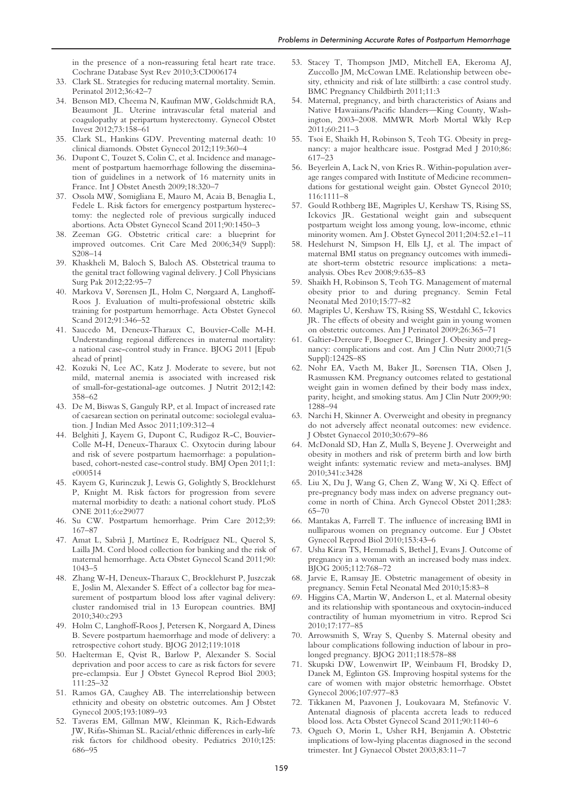in the presence of a non-reassuring fetal heart rate trace. Cochrane Database Syst Rev 2010;3:CD006174

- 33. Clark SL. Strategies for reducing maternal mortality. Semin. Perinatol 2012;36:42–7
- 34. Benson MD, Cheema N, Kaufman MW, Goldschmidt RA, Beaumont JL. Uterine intravascular fetal material and coagulopathy at peripartum hysterectomy. Gynecol Obstet Invest 2012;73:158–61
- 35. Clark SL, Hankins GDV. Preventing maternal death: 10 clinical diamonds. Obstet Gynecol 2012;119:360–4
- 36. Dupont C, Touzet S, Colin C, et al. Incidence and management of postpartum haemorrhage following the dissemination of guidelines in a network of 16 maternity units in France. Int J Obstet Anesth 2009;18:320–7
- 37. Ossola MW, Somigliana E, Mauro M, Acaia B, Benaglia L, Fedele L. Risk factors for emergency postpartum hysterectomy: the neglected role of previous surgically induced abortions. Acta Obstet Gynecol Scand 2011;90:1450–3
- 38. Zeeman GG. Obstetric critical care: a blueprint for improved outcomes. Crit Care Med 2006;34(9 Suppl): S208–14
- 39. Khaskheli M, Baloch S, Baloch AS. Obstetrical trauma to the genital tract following vaginal delivery. J Coll Physicians Surg Pak 2012;22:95–7
- 40. Markova V, Sørensen JL, Holm C, Nørgaard A, Langhoff-Roos J. Evaluation of multi-professional obstetric skills training for postpartum hemorrhage. Acta Obstet Gynecol Scand 2012;91:346–52
- 41. Saucedo M, Deneux-Tharaux C, Bouvier-Colle M-H. Understanding regional differences in maternal mortality: a national case-control study in France. BJOG 2011 [Epub ahead of print]
- 42. Kozuki N, Lee AC, Katz J. Moderate to severe, but not mild, maternal anemia is associated with increased risk of small-for-gestational-age outcomes. J Nutrit 2012;142: 358–62
- 43. De M, Biswas S, Ganguly RP, et al. Impact of increased rate of caesarean section on perinatal outcome: sociolegal evaluation. J Indian Med Assoc 2011;109:312–4
- 44. Belghiti J, Kayem G, Dupont C, Rudigoz R-C, Bouvier-Colle M-H, Deneux-Tharaux C. Oxytocin during labour and risk of severe postpartum haemorrhage: a populationbased, cohort-nested case-control study. BMJ Open 2011;1: e000514
- 45. Kayem G, Kurinczuk J, Lewis G, Golightly S, Brocklehurst P, Knight M. Risk factors for progression from severe maternal morbidity to death: a national cohort study. PLoS ONE 2011;6:e29077
- 46. Su CW. Postpartum hemorrhage. Prim Care 2012;39: 167–87
- 47. Amat L, Sabrià J, Martínez E, Rodríguez NL, Querol S, Lailla JM. Cord blood collection for banking and the risk of maternal hemorrhage. Acta Obstet Gynecol Scand 2011;90: 1043–5
- 48. Zhang W-H, Deneux-Tharaux C, Brocklehurst P, Juszczak E, Joslin M, Alexander S. Effect of a collector bag for measurement of postpartum blood loss after vaginal delivery: cluster randomised trial in 13 European countries. BMJ 2010;340:c293
- 49. Holm C, Langhoff-Roos J, Petersen K, Norgaard A, Diness B. Severe postpartum haemorrhage and mode of delivery: a retrospective cohort study. BJOG 2012;119:1018
- 50. Haelterman E, Qvist R, Barlow P, Alexander S. Social deprivation and poor access to care as risk factors for severe pre-eclampsia. Eur J Obstet Gynecol Reprod Biol 2003; 111:25–32
- 51. Ramos GA, Caughey AB. The interrelationship between ethnicity and obesity on obstetric outcomes. Am J Obstet Gynecol 2005;193:1089–93
- 52. Taveras EM, Gillman MW, Kleinman K, Rich-Edwards JW, Rifas-Shiman SL. Racial/ethnic differences in early-life risk factors for childhood obesity. Pediatrics 2010;125: 686–95
- 53. Stacey T, Thompson JMD, Mitchell EA, Ekeroma AJ, Zuccollo JM, McCowan LME. Relationship between obesity, ethnicity and risk of late stillbirth: a case control study. BMC Pregnancy Childbirth 2011;11:3
- 54. Maternal, pregnancy, and birth characteristics of Asians and Native Hawaiians/Pacific Islanders—King County, Washington, 2003–2008. MMWR Morb Mortal Wkly Rep  $2011:60:211-3$
- 55. Tsoi E, Shaikh H, Robinson S, Teoh TG. Obesity in pregnancy: a major healthcare issue. Postgrad Med J 2010;86: 617–23
- 56. Beyerlein A, Lack N, von Kries R. Within-population average ranges compared with Institute of Medicine recommendations for gestational weight gain. Obstet Gynecol 2010; 116:1111–8
- 57. Gould Rothberg BE, Magriples U, Kershaw TS, Rising SS, Ickovics JR. Gestational weight gain and subsequent postpartum weight loss among young, low-income, ethnic minority women. Am J. Obstet Gynecol 2011;204:52.e1–11
- 58. Heslehurst N, Simpson H, Ells LJ, et al. The impact of maternal BMI status on pregnancy outcomes with immediate short-term obstetric resource implications: a metaanalysis. Obes Rev 2008;9:635–83
- 59. Shaikh H, Robinson S, Teoh TG. Management of maternal obesity prior to and during pregnancy. Semin Fetal Neonatal Med 2010;15:77–82
- 60. Magriples U, Kershaw TS, Rising SS, Westdahl C, Ickovics JR. The effects of obesity and weight gain in young women on obstetric outcomes. Am J Perinatol 2009;26:365–71
- 61. Galtier-Dereure F, Boegner C, Bringer J. Obesity and pregnancy: complications and cost. Am J Clin Nutr 2000;71(5 Suppl):1242S–8S
- 62. Nohr EA, Vaeth M, Baker JL, Sørensen TIA, Olsen J, Rasmussen KM. Pregnancy outcomes related to gestational weight gain in women defined by their body mass index, parity, height, and smoking status. Am J Clin Nutr 2009;90: 1288–94
- 63. Narchi H, Skinner A. Overweight and obesity in pregnancy do not adversely affect neonatal outcomes: new evidence. J Obstet Gynaecol 2010;30:679–86
- 64. McDonald SD, Han Z, Mulla S, Beyene J. Overweight and obesity in mothers and risk of preterm birth and low birth weight infants: systematic review and meta-analyses. BMJ 2010;341:c3428
- 65. Liu X, Du J, Wang G, Chen Z, Wang W, Xi Q. Effect of pre-pregnancy body mass index on adverse pregnancy outcome in north of China. Arch Gynecol Obstet 2011;283: 65–70
- 66. Mantakas A, Farrell T. The influence of increasing BMI in nulliparous women on pregnancy outcome. Eur J Obstet Gynecol Reprod Biol 2010;153:43–6
- 67. Usha Kiran TS, Hemmadi S, Bethel J, Evans J. Outcome of pregnancy in a woman with an increased body mass index. BJOG 2005;112:768–72
- 68. Jarvie E, Ramsay JE. Obstetric management of obesity in pregnancy. Semin Fetal Neonatal Med 2010;15:83–8
- 69. Higgins CA, Martin W, Anderson L, et al. Maternal obesity and its relationship with spontaneous and oxytocin-induced contractility of human myometrium in vitro. Reprod Sci 2010;17:177–85
- 70. Arrowsmith S, Wray S, Quenby S. Maternal obesity and labour complications following induction of labour in prolonged pregnancy. BJOG 2011;118:578–88
- 71. Skupski DW, Lowenwirt IP, Weinbaum FI, Brodsky D, Danek M, Eglinton GS. Improving hospital systems for the care of women with major obstetric hemorrhage. Obstet Gynecol 2006;107:977–83
- 72. Tikkanen M, Paavonen J, Loukovaara M, Stefanovic V. Antenatal diagnosis of placenta accreta leads to reduced blood loss. Acta Obstet Gynecol Scand 2011;90:1140–6
- 73. Ogueh O, Morin L, Usher RH, Benjamin A. Obstetric implications of low-lying placentas diagnosed in the second trimester. Int J Gynaecol Obstet 2003;83:11–7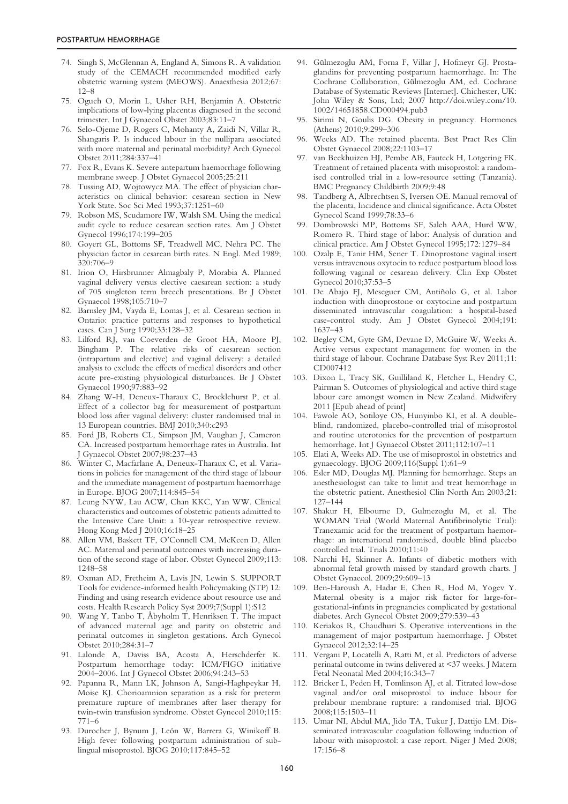- 74. Singh S, McGlennan A, England A, Simons R. A validation study of the CEMACH recommended modified early obstetric warning system (MEOWS). Anaesthesia 2012;67: 12–8
- 75. Ogueh O, Morin L, Usher RH, Benjamin A. Obstetric implications of low-lying placentas diagnosed in the second trimester. Int J Gynaecol Obstet 2003;83:11–7
- 76. Selo-Ojeme D, Rogers C, Mohanty A, Zaidi N, Villar R, Shangaris P. Is induced labour in the nullipara associated with more maternal and perinatal morbidity? Arch Gynecol Obstet 2011;284:337–41
- 77. Fox R, Evans K. Severe antepartum haemorrhage following membrane sweep. J Obstet Gynaecol 2005;25:211
- 78. Tussing AD, Wojtowycz MA. The effect of physician characteristics on clinical behavior: cesarean section in New York State. Soc Sci Med 1993;37:1251–60
- 79. Robson MS, Scudamore IW, Walsh SM. Using the medical audit cycle to reduce cesarean section rates. Am J Obstet Gynecol 1996;174:199–205
- 80. Goyert GL, Bottoms SF, Treadwell MC, Nehra PC. The physician factor in cesarean birth rates. N Engl. Med 1989; 320:706–9
- 81. Irion O, Hirsbrunner Almagbaly P, Morabia A. Planned vaginal delivery versus elective caesarean section: a study of 705 singleton term breech presentations. Br J Obstet Gynaecol 1998;105:710–7
- 82. Barnsley JM, Vayda E, Lomas J, et al. Cesarean section in Ontario: practice patterns and responses to hypothetical cases. Can J Surg 1990;33:128–32
- 83. Lilford RJ, van Coeverden de Groot HA, Moore PJ, Bingham P. The relative risks of caesarean section (intrapartum and elective) and vaginal delivery: a detailed analysis to exclude the effects of medical disorders and other acute pre-existing physiological disturbances. Br J Obstet Gynaecol 1990;97:883–92
- 84. Zhang W-H, Deneux-Tharaux C, Brocklehurst P, et al. Effect of a collector bag for measurement of postpartum blood loss after vaginal delivery: cluster randomised trial in 13 European countries. BMJ 2010;340:c293
- 85. Ford JB, Roberts CL, Simpson JM, Vaughan J, Cameron CA. Increased postpartum hemorrhage rates in Australia. Int J Gynaecol Obstet 2007;98:237–43
- 86. Winter C, Macfarlane A, Deneux-Tharaux C, et al. Variations in policies for management of the third stage of labour and the immediate management of postpartum haemorrhage in Europe. BJOG 2007;114:845–54
- 87. Leung NYW, Lau ACW, Chan KKC, Yan WW. Clinical characteristics and outcomes of obstetric patients admitted to the Intensive Care Unit: a 10-year retrospective review. Hong Kong Med J 2010;16:18–25
- 88. Allen VM, Baskett TF, O'Connell CM, McKeen D, Allen AC. Maternal and perinatal outcomes with increasing duration of the second stage of labor. Obstet Gynecol 2009;113: 1248–58
- 89. Oxman AD, Fretheim A, Lavis JN, Lewin S. SUPPORT Tools for evidence-informed health Policymaking (STP) 12: Finding and using research evidence about resource use and costs. Health Research Policy Syst 2009;7(Suppl 1):S12
- 90. Wang Y, Tanbo T, Åbyholm T, Henriksen T. The impact of advanced maternal age and parity on obstetric and perinatal outcomes in singleton gestations. Arch Gynecol Obstet 2010;284:31–7
- 91. Lalonde A, Daviss BA, Acosta A, Herschderfer K. Postpartum hemorrhage today: ICM/FIGO initiative 2004–2006. Int J Gynecol Obstet 2006;94:243–53
- 92. Papanna R, Mann LK, Johnson A, Sangi-Haghpeykar H, Moise KJ. Chorioamnion separation as a risk for preterm premature rupture of membranes after laser therapy for twin-twin transfusion syndrome. Obstet Gynecol 2010;115: 771–6
- 93. Durocher J, Bynum J, León W, Barrera G, Winikoff B. High fever following postpartum administration of sublingual misoprostol. BJOG 2010;117:845–52
- 94. Gülmezoglu AM, Forna F, Villar J, Hofmeyr GJ. Prostaglandins for preventing postpartum haemorrhage. In: The Cochrane Collaboration, Gülmezoglu AM, ed. Cochrane Database of Systematic Reviews [Internet]. Chichester, UK: John Wiley & Sons, Ltd; 2007 http://doi.wiley.com/10. 1002/14651858.CD000494.pub3
- 95. Sirimi N, Goulis DG. Obesity in pregnancy. Hormones (Athens) 2010;9:299–306
- 96. Weeks AD. The retained placenta. Best Pract Res Clin Obstet Gynaecol 2008;22:1103–17
- 97. van Beekhuizen HJ, Pembe AB, Fauteck H, Lotgering FK. Treatment of retained placenta with misoprostol: a randomised controlled trial in a low-resource setting (Tanzania). BMC Pregnancy Childbirth 2009;9:48
- 98. Tandberg A, Albrechtsen S, Iversen OE. Manual removal of the placenta, Incidence and clinical significance. Acta Obstet Gynecol Scand 1999;78:33–6
- 99. Dombrowski MP, Bottoms SF, Saleh AAA, Hurd WW, Romero R. Third stage of labor: Analysis of duration and clinical practice. Am J Obstet Gynecol 1995;172:1279–84
- 100. Ozalp E, Tanir HM, Sener T. Dinoprostone vaginal insert versus intravenous oxytocin to reduce postpartum blood loss following vaginal or cesarean delivery. Clin Exp Obstet Gynecol 2010;37:53–5
- 101. De Abajo FJ, Meseguer CM, Antiñolo G, et al. Labor induction with dinoprostone or oxytocine and postpartum disseminated intravascular coagulation: a hospital-based case-control study. Am J Obstet Gynecol 2004;191: 1637–43
- 102. Begley CM, Gyte GM, Devane D, McGuire W, Weeks A. Active versus expectant management for women in the third stage of labour. Cochrane Database Syst Rev 2011;11: CD007412
- 103. Dixon L, Tracy SK, Guilliland K, Fletcher L, Hendry C, Pairman S. Outcomes of physiological and active third stage labour care amongst women in New Zealand. Midwifery 2011 [Epub ahead of print]
- 104. Fawole AO, Sotiloye OS, Hunyinbo KI, et al. A doubleblind, randomized, placebo-controlled trial of misoprostol and routine uterotonics for the prevention of postpartum hemorrhage. Int J Gynaecol Obstet 2011;112:107–11
- 105. Elati A, Weeks AD. The use of misoprostol in obstetrics and gynaecology. BJOG 2009;116(Suppl 1):61–9
- 106. Esler MD, Douglas MJ. Planning for hemorrhage. Steps an anesthesiologist can take to limit and treat hemorrhage in the obstetric patient. Anesthesiol Clin North Am 2003;21: 127–144
- 107. Shakur H, Elbourne D, Gulmezoglu M, et al. The WOMAN Trial (World Maternal Antifibrinolytic Trial): Tranexamic acid for the treatment of postpartum haemorrhage: an international randomised, double blind placebo controlled trial. Trials 2010;11:40
- 108. Narchi H, Skinner A. Infants of diabetic mothers with abnormal fetal growth missed by standard growth charts. J Obstet Gynaecol. 2009;29:609–13
- 109. Ben-Haroush A, Hadar E, Chen R, Hod M, Yogev Y. Maternal obesity is a major risk factor for large-forgestational-infants in pregnancies complicated by gestational diabetes. Arch Gynecol Obstet 2009;279:539–43
- 110. Keriakos R, Chaudhuri S. Operative interventions in the management of major postpartum haemorrhage. J Obstet Gynaecol 2012;32:14–25
- 111. Vergani P, Locatelli A, Ratti M, et al. Predictors of adverse perinatal outcome in twins delivered at <37 weeks. J Matern Fetal Neonatal Med 2004;16:343–7
- 112. Bricker L, Peden H, Tomlinson AJ, et al. Titrated low-dose vaginal and/or oral misoprostol to induce labour for prelabour membrane rupture: a randomised trial. BJOG 2008;115:1503–11
- 113. Umar NI, Abdul MA, Jido TA, Tukur J, Dattijo LM. Disseminated intravascular coagulation following induction of labour with misoprostol: a case report. Niger J Med 2008; 17:156–8